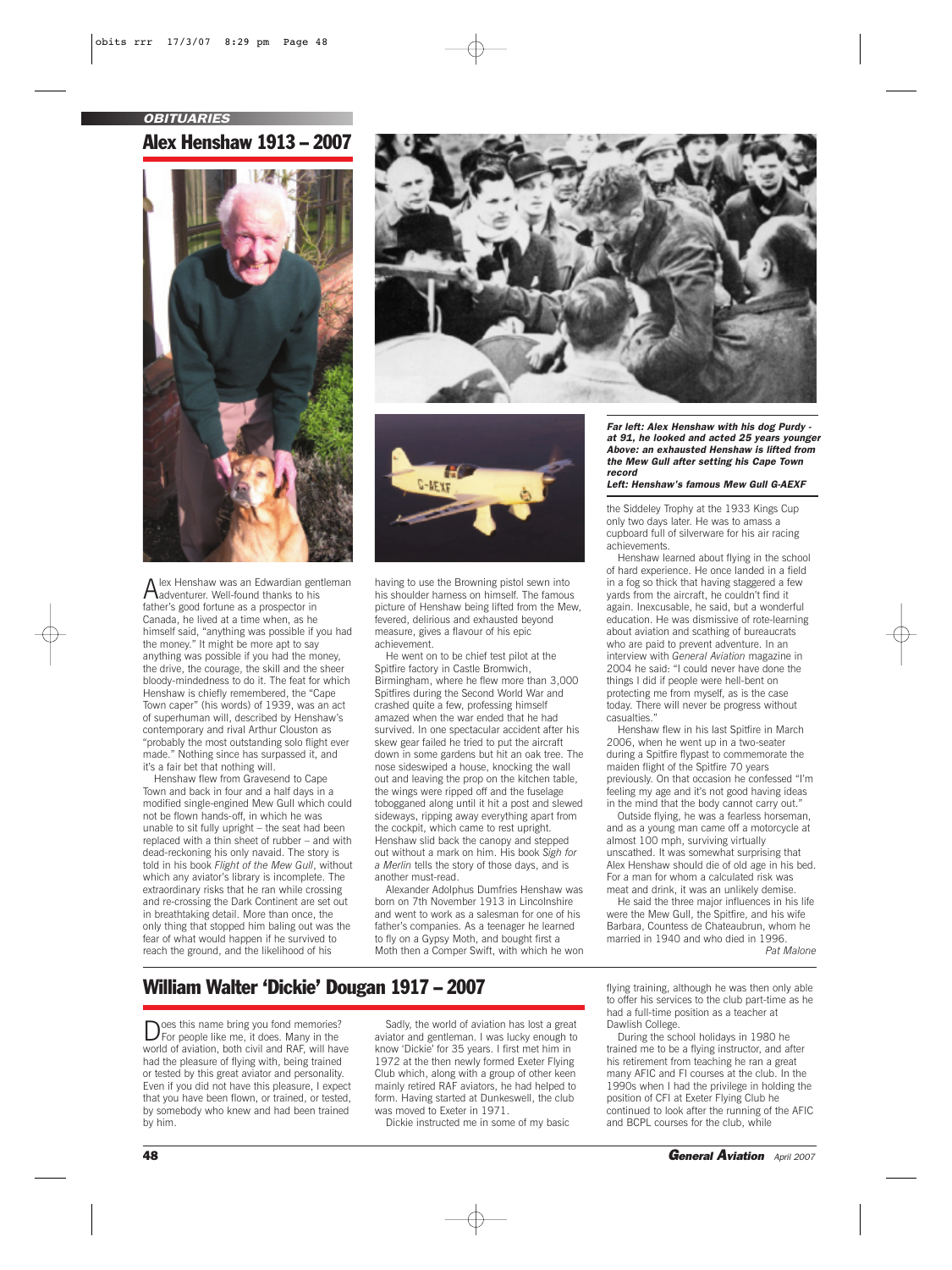*OBITUARIES*

Alex Henshaw 1913 – 2007



Alex Henshaw was an Edwardian gentleman adventurer. Well-found thanks to his father's good fortune as a prospector in Canada, he lived at a time when, as he himself said, "anything was possible if you had the money." It might be more apt to say anything was possible if you had the money, the drive, the courage, the skill and the sheer bloody-mindedness to do it. The feat for which Henshaw is chiefly remembered, the "Cape Town caper" (his words) of 1939, was an act of superhuman will, described by Henshaw's contemporary and rival Arthur Clouston as "probably the most outstanding solo flight ever made." Nothing since has surpassed it, and it's a fair bet that nothing will.

Henshaw flew from Gravesend to Cape Town and back in four and a half days in a modified single-engined Mew Gull which could not be flown hands-off, in which he was unable to sit fully upright – the seat had been replaced with a thin sheet of rubber – and with dead-reckoning his only navaid. The story is told in his book *Flight of the Mew Gull*, without which any aviator's library is incomplete. The extraordinary risks that he ran while crossing and re-crossing the Dark Continent are set out in breathtaking detail. More than once, the only thing that stopped him baling out was the fear of what would happen if he survived to reach the ground, and the likelihood of his





having to use the Browning pistol sewn into his shoulder harness on himself. The famous picture of Henshaw being lifted from the Mew, fevered, delirious and exhausted beyond measure, gives a flavour of his epic achievement.

He went on to be chief test pilot at the Spitfire factory in Castle Bromwich, Birmingham, where he flew more than 3,000 Spitfires during the Second World War and crashed quite a few, professing himself amazed when the war ended that he had survived. In one spectacular accident after his skew gear failed he tried to put the aircraft down in some gardens but hit an oak tree. The nose sideswiped a house, knocking the wall out and leaving the prop on the kitchen table, the wings were ripped off and the fuselage tobogganed along until it hit a post and slewed sideways, ripping away everything apart from the cockpit, which came to rest upright. Henshaw slid back the canopy and stepped out without a mark on him. His book *Sigh for a Merlin* tells the story of those days, and is another must-read.

Alexander Adolphus Dumfries Henshaw was born on 7th November 1913 in Lincolnshire and went to work as a salesman for one of his father's companies. As a teenager he learned to fly on a Gypsy Moth, and bought first a Moth then a Comper Swift, with which he won *Far left: Alex Henshaw with his dog Purdy at 91, he looked and acted 25 years younger Above: an exhausted Henshaw is lifted from the Mew Gull after setting his Cape Town record*

*Left: Henshaw's famous Mew Gull G-AEXF*

the Siddeley Trophy at the 1933 Kings Cup only two days later. He was to amass a cupboard full of silverware for his air racing achievements.

Henshaw learned about flying in the school of hard experience. He once landed in a field in a fog so thick that having staggered a few yards from the aircraft, he couldn't find it again. Inexcusable, he said, but a wonderful education. He was dismissive of rote-learning about aviation and scathing of bureaucrats who are paid to prevent adventure. In an interview with *General Aviation* magazine in 2004 he said: "I could never have done the things I did if people were hell-bent on protecting me from myself, as is the case today. There will never be progress without casualties."

Henshaw flew in his last Spitfire in March 2006, when he went up in a two-seater during a Spitfire flypast to commemorate the maiden flight of the Spitfire 70 years previously. On that occasion he confessed "I'm feeling my age and it's not good having ideas in the mind that the body cannot carry out."

Outside flying, he was a fearless horseman, and as a young man came off a motorcycle at almost 100 mph, surviving virtually unscathed. It was somewhat surprising that Alex Henshaw should die of old age in his bed. For a man for whom a calculated risk was meat and drink, it was an unlikely demise.

He said the three major influences in his life were the Mew Gull, the Spitfire, and his wife Barbara, Countess de Chateaubrun, whom he married in 1940 and who died in 1996.

*Pat Malone*

## William Walter 'Dickie' Dougan 1917 – 2007

Does this name bring you fond memories? For people like me, it does. Many in the world of aviation, both civil and RAF, will have had the pleasure of flying with, being trained or tested by this great aviator and personality. Even if you did not have this pleasure, I expect that you have been flown, or trained, or tested, by somebody who knew and had been trained by him.

Sadly, the world of aviation has lost a great aviator and gentleman. I was lucky enough to know 'Dickie' for 35 years. I first met him in 1972 at the then newly formed Exeter Flying Club which, along with a group of other keen mainly retired RAF aviators, he had helped to form. Having started at Dunkeswell, the club was moved to Exeter in 1971.

Dickie instructed me in some of my basic

flying training, although he was then only able to offer his services to the club part-time as he had a full-time position as a teacher at Dawlish College.

During the school holidays in 1980 he trained me to be a flying instructor, and after his retirement from teaching he ran a great many AFIC and FI courses at the club. In the 1990s when I had the privilege in holding the position of CFI at Exeter Flying Club he continued to look after the running of the AFIC and BCPL courses for the club, while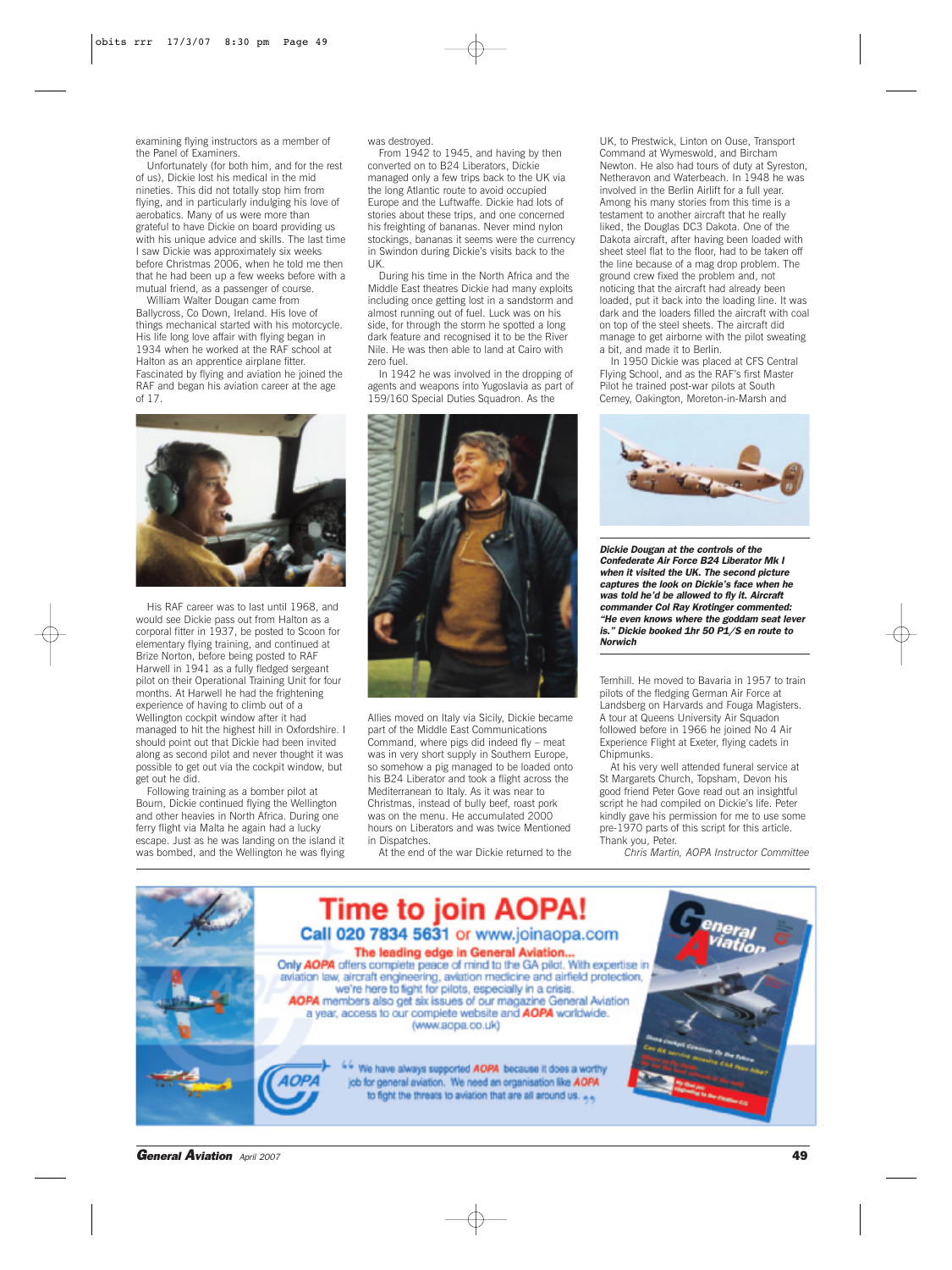examining flying instructors as a member of the Panel of Examiners.

Unfortunately (for both him, and for the rest of us), Dickie lost his medical in the mid nineties. This did not totally stop him from flying, and in particularly indulging his love of aerobatics. Many of us were more than grateful to have Dickie on board providing us with his unique advice and skills. The last time I saw Dickie was approximately six weeks before Christmas 2006, when he told me then that he had been up a few weeks before with a mutual friend, as a passenger of course.

William Walter Dougan came from Ballycross, Co Down, Ireland. His love of things mechanical started with his motorcycle. His life long love affair with flying began in 1934 when he worked at the RAF school at Halton as an apprentice airplane fitter. Fascinated by flying and aviation he joined the RAF and began his aviation career at the age of 17.



His RAF career was to last until 1968, and would see Dickie pass out from Halton as a corporal fitter in 1937, be posted to Scoon for elementary flying training, and continued at Brize Norton, before being posted to RAF Harwell in 1941 as a fully fledged sergeant pilot on their Operational Training Unit for four months. At Harwell he had the frightening experience of having to climb out of a Wellington cockpit window after it had managed to hit the highest hill in Oxfordshire. I should point out that Dickie had been invited along as second pilot and never thought it was possible to get out via the cockpit window, but get out he did.

Following training as a bomber pilot at Bourn, Dickie continued flying the Wellington and other heavies in North Africa. During one ferry flight via Malta he again had a lucky escape. Just as he was landing on the island it was bombed, and the Wellington he was flying

was destroyed.

From 1942 to 1945, and having by then converted on to B24 Liberators, Dickie managed only a few trips back to the UK via the long Atlantic route to avoid occupied Europe and the Luftwaffe. Dickie had lots of stories about these trips, and one concerned his freighting of bananas. Never mind nylon stockings, bananas it seems were the currency in Swindon during Dickie's visits back to the UK.

During his time in the North Africa and the Middle East theatres Dickie had many exploits including once getting lost in a sandstorm and almost running out of fuel. Luck was on his side, for through the storm he spotted a long dark feature and recognised it to be the River Nile. He was then able to land at Cairo with zero fuel.

In 1942 he was involved in the dropping of agents and weapons into Yugoslavia as part of 159/160 Special Duties Squadron. As the



Allies moved on Italy via Sicily, Dickie became part of the Middle East Communications Command, where pigs did indeed fly – meat was in very short supply in Southern Europe, so somehow a pig managed to be loaded onto his B24 Liberator and took a flight across the Mediterranean to Italy. As it was near to Christmas, instead of bully beef, roast pork was on the menu. He accumulated 2000 hours on Liberators and was twice Mentioned in Dispatches.

At the end of the war Dickie returned to the

UK, to Prestwick, Linton on Ouse, Transport Command at Wymeswold, and Bircham Newton. He also had tours of duty at Syreston, Netheravon and Waterbeach. In 1948 he was involved in the Berlin Airlift for a full year. Among his many stories from this time is a testament to another aircraft that he really liked, the Douglas DC3 Dakota. One of the Dakota aircraft, after having been loaded with sheet steel flat to the floor, had to be taken off the line because of a mag drop problem. The ground crew fixed the problem and, not noticing that the aircraft had already been loaded, put it back into the loading line. It was dark and the loaders filled the aircraft with coal on top of the steel sheets. The aircraft did manage to get airborne with the pilot sweating a bit, and made it to Berlin.

In 1950 Dickie was placed at CFS Central Flying School, and as the RAF's first Master Pilot he trained post-war pilots at South Cerney, Oakington, Moreton-in-Marsh and



*Dickie Dougan at the controls of the Confederate Air Force B24 Liberator Mk I when it visited the UK. The second picture captures the look on Dickie's face when he was told he'd be allowed to fly it. Aircraft commander Col Ray Krotinger commented: "He even knows where the goddam seat lever is." Dickie booked 1hr 50 P1/S en route to Norwich*

Ternhill. He moved to Bavaria in 1957 to train pilots of the fledging German Air Force at Landsberg on Harvards and Fouga Magisters. A tour at Queens University Air Squadon followed before in 1966 he joined No 4 Air Experience Flight at Exeter, flying cadets in Chipmunks.

At his very well attended funeral service at St Margarets Church, Topsham, Devon his good friend Peter Gove read out an insightful script he had compiled on Dickie's life. Peter kindly gave his permission for me to use some pre-1970 parts of this script for this article. Thank you, Peter.

*Chris Martin, AOPA Instructor Committee*



*General Aviation April 2007* 49